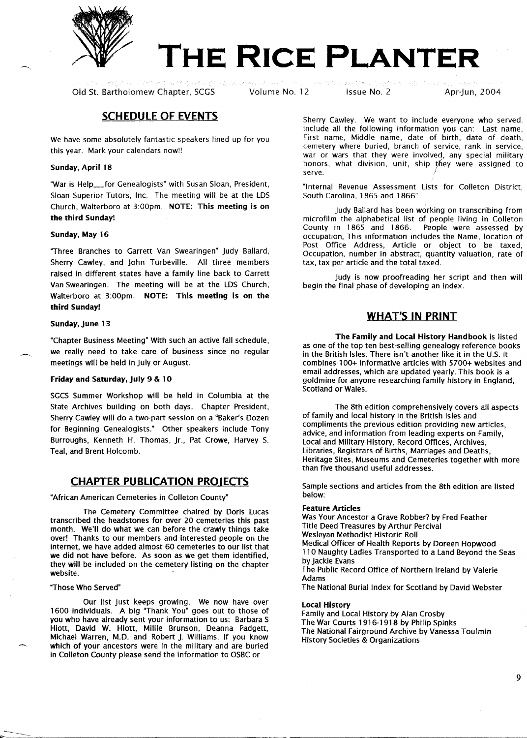

# **THE RICE PLANTER**

Old St. Bartholomew Chapter, SCGS Volume No. 12 Issue No. 2 Apr-Jun, 2004

# **SCHEDULE OF EVENTS**

We have some absolutely fantastic speakers lined up for you this year. Mark your calendars now!!

#### **Sunday, April 18**

"War is Help\_\_\_for Genealogists" with Susan Sloan, President, Sloan Superior Tutors, Inc. The meeting will be at the LOS Church, Walterboro at 3:00pm. **NOTE: This meeting is on the third Sunday!**

#### **Sunday, May 16**

"Three Branches to Garrett Van Swearingen" Judy Ballard, Sherry Cawley, and John Turbeville. All three members raised in different states have a family line back to Garrett Van Swearingen. The meeting will be at the LOS Church, Walterboro at 3:00pm. **NOTE: This meeting is on the third Sunday!**

#### **Sunday, June 13**

"Chapter Business Meeting" With such an active fall schedule, we really need to take care of business since no regular meetings will be held in July or August.

#### Friday and **Saturday, July 9 & 10**

SGCS Summer Workshop will be held in Columbia at the State Archives building on both days. Chapter President, Sherry Cawley will do a two-part session on a "Baker's Dozen for Beginning Genealogists." Other speakers include Tony Burroughs, Kenneth H. Thomas, Jr., Pat Crowe, Harvey S. Teal, and Brent Holcomb.

## **CHAPTER PUBLICATION PROIECTS**

"African American Cemeteries in Colleton County"

The Cemetery Committee chaired by Doris Lucas transcribed the headstones for over 20 cemeteries this past month. We'll do what we can before the crawly things take over! Thanks to our members and interested people on the internet, we have added almost 60 cemeteries to our list that we did not have before. As soon as we get them identified, they will be included on the cemetery listing on the chapter website.

#### "Those Who Served"

Our list just keeps growing. We now have over 1600 individuals. A big "Thank You" goes out to those of you who have already sent your information to us: Barbara S Hiott, David W. Hiott, Millie Brunson, Deanna Padgett, Michael Warren, M.D. and Robert j. Williams. If you know which of your ancestors were in the military and are buried in Colleton County please send the information to OSBC or

Sherry Cawley. We want to include everyone who served. Include all the following information you can: Last name, First name, Middle name, date of birth, date of death, cemetery where buried, branch of service, rank in service, war or wars that they were involved, any special military honors, what division, unit, ship they were assigned to serve.

"Internal Revenue Assessment Lists for Colleton District, South Carolina, 1865 and 1866"

Judy Ballard has been working on transcribing from microfilm the alphabetical list of people living in Colleton County in 1865 and 1866. People were assessed by occupation, This information includes the Name, location of Post Office Address, Article or object to be taxed, Occupation, number in abstract, quantity valuation, rate of tax, tax per article and the total taxed.

Judy is now proofreading her script and then will begin the final phase of developing an index.

## **WHAT'S IN PRINT**

**The Family and Local History Handbook** is listed as one of the top ten best-selling genealogy reference books in the British Isles. There isn't another like it in the U.S. It combines 100+ informative articles with 5700+ websites and email addresses, which are updated yearly. This book is a goldmine for anyone researching family history in England, Scotland or Wales.

The 8th edition comprehensively covers all aspects of family and local history in the British Isles and compliments the previous edition providing new articles, advice, and information from leading experts on Family, Local and Military History, Record Offices, Archives, Libraries, Registrars of Births, Marriages and Deaths, Heritage Sites, Museums and Cemeteries together with more than five thousand useful addresses.

Sample sections and articles from the 8th edition are listed below:

#### **Feature Articles**

Was Your Ancestor a Grave Robber? by Fred Feather Title Deed Treasures by Arthur Percival Wesleyan Methodist Historic Roll Medical Officer of Health Reports by Doreen Hopwood 110 Naughty Ladies Transported to a Land Beyond the Seas by Jackie Evans The Public Record Office of Northern Ireland by Valerie Adams The National Burial Index for Scotland by David Webster

#### **Local History**

Family and Local History by Alan Crosby The War Courts 1916-1918 by Philip Spinks The National Fairground Archive by Vanessa Toulmin History Societies & Organizations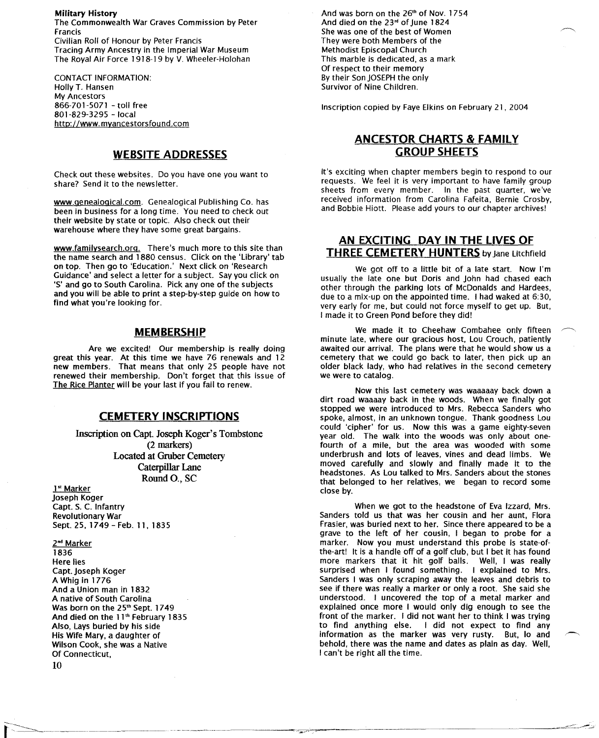**Military History** The Commonwealth War Graves Commission by Peter Francis Civilian Roll of Honour by Peter Francis Tracing Army Ancestry in the Imperial War Museum The Royal Air Force 1918-19 by V. Wheeler-Holohan

CONTACT INFORMATION: Holly T. Hansen My Ancestors 866-701-5071 - toll free 801-829-3295 - local http://www.myancestorsfound.com

## **WEBSITE ADDRESSES**

Check out these websites. Do you have one you want to share? Send it to the newsletter.

www.genealogical.com. Genealogical Publishing Co. has been in business for a long time. You need to check out their website by state or topic. Also check out their warehouse where they have some great bargains.

www.familysearch.org. There's much more to this site than the name search and 1880 census. Click on the 'Library' tab on top. Then go to 'Education.' Next click on 'Research Guidance' and select a letter for a subject. Say you click on 'S' and go to South Carolina. Pick anyone of the subjects and you will be able to print a step-by-step guide on how to find what you're looking for.

#### **MEMBERSHIP**

Are we excited! Our membership is really doing great this year. At this time we have 76 renewals and 12 new members. That means that only 25 people have not renewed their membership. Don't forget that this issue of The Rice Planter will be your last if you fail to renew.

### **CEMETERY INSCRIPTIONS**

Inscription on Capt. Joseph Koger's Tombstone (2 markers) Located at Gruber Cemetery Caterpillar Lane Round 0., SC

1<sup>st</sup> Marker joseph Koger Capt. S. C. Infantry Revolutionary War Sept. 25, 1749 - Feb. 11, 1835

2<sup>nd</sup> Marker 1836 Here lies Capt. joseph Koger A Whig in 1776 And a Union man in 1832 A native of South Carolina Was born on the 25<sup>th</sup> Sept. 1749 And died on the 11" February 1835 Also, Lays buried by his side His Wife Mary, a daughter of Wilson Cook, she was a Native Of Connecticut,

And was born on the 26" of Nov. 1754 And died on the 23'd of June 1824 She was one of the best of Women They were both Members of the Methodist Episcopal Church This marble is dedicated, as a mark Of respect to their memory By their Son JOSEPH the only Survivor of Nine Children.

Inscription copied by Faye Elkins on February 21, 2004

# **ANCESTOR CHARTS & FAMilY GROUP SHEETS**

It's exciting when chapter members begin to respond to our requests. We feel it is very important to have family group sheets from every member. In the past quarter, we've received information from Carolina Fafeita, Bernie Crosby, and Bobbie Hiott. Please add yours to our chapter archives!

## **AN EXCITING DAY IN THE LIVES OF THREE CEMETERY HUNTERS** by Jane Litchfield

We got off to a little bit of a late start. Now I'm usually the late one but Doris and John had chased each other through the parking lots of McDonalds and Hardees, due to a mix-up on the appointed time. I had waked at 6:30, very early for me, but could not force myself to get up. But, I made it to Green Pond before they did!

We made it to Cheehaw Combahee only fifteen minute late, where our gracious host, Lou Crouch, patiently awaited our arrival. The plans were that he would show us a cemetery that we could go back to later, then pick up an older black lady, who had relatives in the second cemetery we were to catalog.

Now this last cemetery was waaaaay back down a dirt road waaaay back in the woods. When we finally got stopped we were introduced to Mrs. Rebecca sanders who spoke, almost, in an unknown tongue. Thank goodness Lou could 'cipher' for us. Now this was a game eighty-seven year old. The walk into the woods was only about onefourth of a mile, but the area was wooded with some underbrush and lots of leaves, vines and dead limbs. We moved carefully and slowly and finally made it to the headstones. As Lou talked to Mrs. Sanders about the stones that belonged to her relatives, we began to record some close by.

When we got to the headstone of Eva Izzard, Mrs. Sanders told us that was her cousin and her aunt, Flora Frasier, was buried next to her. Since there appeared to be a grave to the left of her cousin, I began to probe for a marker. Now you must understand this probe is state-ofthe-art! It is a handle off of a golf club, but I bet it has found more markers that it hit golf balls. Well, I was really surprised when I found something. I explained to Mrs. Sanders I was only scraping away the leaves and debris to see if there was really a marker or only a root. She said she understood. I uncovered the top of a metal marker and explained once more I would only dig enough to see the front of the marker. I did not want her to think I was trying I did not expect to find any information as the marker was very rusty. But, lo and behold, there was the name and dates as plain as day. Well, I can't be right all the time.

10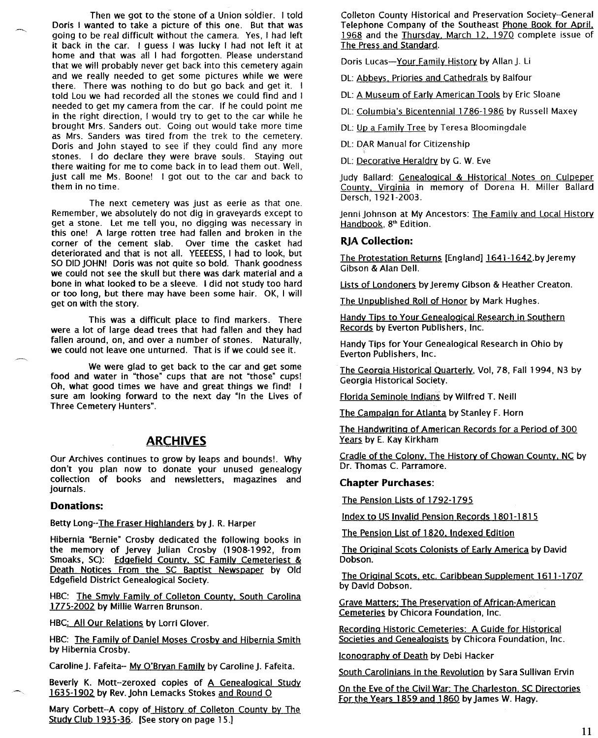Then we got to the stone of a Union soldier. I told Doris I wanted to take a picture of this one. But that was going to be real difficult without the camera. Yes, I had left it back in the car. I guess I was lucky I had not left It at home and that was all I had forgotten. Please understand that we will probably never get back into this cemetery again and we really needed to get some pictures while we were there. There was nothing to do but go back and get it. I told Lou we had recorded all the stones we could find and I needed to get my camera from the car. If he could point me in the right direction, I would try to get to the car while he brought Mrs. Sanders out. Going out would take more time as Mrs. Sanders was tired from the trek to the cemetery. Doris and John stayed to see if they could find any more stones. I do declare they were brave souls. Staying out there waiting for me to come back in to lead them out. Well, just call me Ms. Boone! I got out to the car and back to them in no time.

The next cemetery was just as eerie as that one. Remember, we absolutely do not dig in graveyards except to get a stone. Let me tell you, no digging was necessary in this one! A large rotten tree had fallen and broken in the corner of the cement slab. Over time the casket had deteriorated and that is not all. YEEEESS, I had to look, but SO DID JOHN! Doris was not quite so bold. Thank goodness we could not see the skull but there was dark material and a bone in what looked to be a sleeve. I did not study too hard or too long, but there may have been some hair. OK, I will get on with the story.

This was a difficult place to find markers. There were a lot of large dead trees that had fallen and they had fallen around, on, and over a number of stones. Naturally, we could not leave one unturned. That is if we could see it.

We were glad to get back to the car and get some food and water in "those" cups that are not "those" cups! Oh, what good times we have and great things we find! I sure am looking forward to the next day "In the Lives of Three Cemetery Hunters".

# **ARCHIVES**

Our Archives continues to grow by leaps and bounds!. Why don't you plan now to donate your unused genealogy collection of books and newsletters, magazines and journals.

#### **Donations:**

Betty Long--The Fraser Highlanders by J. R. Harper

Hibernia "Bernie" Crosby dedicated the following books in the memory of Jervey Julian Crosby (1908-1992, from Smoaks, SC): Edgefield County. SC Family Cemeteriest & Death Notices From the SC Baptist Newspaper by Old Edgefield District Genealogical Society.

HBC: The Smyly Family of Colleton County, South Carolina 1775-2002 by Millie Warren Brunson.

HBC: All Our Relations by Lorri Glover,

HBC: The Family of Daniel Moses Crosby and Hibernia Smith by Hibernia Crosby.

Caroline J. Fafeita-- My O'Bryan Family by Caroline J. Fafeita.

Beverly K. Mott--zeroxed copies of A Genealogical Study 1635-1902 by Rev.John lemacks Stokes and Round 0

Mary Corbett--A copy of History of Colleton County by The Study Club 1935-36. [See story on page 15.]

Colleton County Historical and Preservation Society--General Telephone Company of the Southeast Phone Book for April, 1968 and the Thursday, March 12, 1970 complete issue of The Press and Standard.

Doris Lucas-Your Family History by Allan J. Li

DL: Abbeys, Priories and Cathedrals by Balfour

DL: A Museum of Earlv American Tools by Eric Sloane

DL: Columbia's Bicentennial 1786-1986 by Russell Maxey

DL: Up a Family Tree by Teresa Bloomingdale

DL: DAR Manual for Citizenship

DL: Decorative Heraldry by G. W, Eve

Judy Ballard: Genealogical & Historical Notes on Culpeper County, Virginia in memory of Dorena H. Miller Ballard Dersch, 1921-2003,

Jenni Johnson at My Ancestors: The Family and Local History Handbook, 8<sup>th</sup> Edition.

#### **RJACollection:**

The Protestation Returns [England] 1641-1642,by Jeremy Gibson & Alan Dell,

Lists of Londoners by Jeremy Gibson & Heather Creaton.

The Unpublished Roll of Honor by Mark Hughes.

Handy Tips to Your Genealogical Research in Southern Records by Everton Publishers, Inc,

Handy Tips for Your Genealogical Research in Ohio by Everton Publishers, Inc.

The Georgia Historical Quarterly, Vol, 78, Fall 1994, N3 by Georgia Historical Society.

Florida Seminole Indians by Wilfred T. Neill

The Campaign for Atlanta by Stanley F, Horn

The Handwriting of American Records for a Period of 300 Years by E. Kay Kirkham

Cradle of the Colony. The History of Chowan County, NC by Dr. Thomas C. Parramore,

#### **Chapter Purchases:**

The Pension Lists of 1792-1795

Index to US Invalid Pension Records 1801-1815

The Pension List of 1820, Indexed Edition

The Original Scots Colonists of Early America by David Dobson.

The Original Scots, etc. Caribbean Supplement 1611-1707 by David Dobson.

Grave Matters: The Preservation of African-American Cemeteries by Chicora Foundation, Inc.

Recording Historic Cemeteries: A Guide for Historical Societies and Genealogists by Chicora Foundation, Inc.

Iconography of Death by Debi Hacker

South Carolinians in the Revolution by Sara Sullivan Ervin

On the Eve of the Civil War: The Charleston. SC Directories For the Years 1859 and 1860 by James W. Hagy,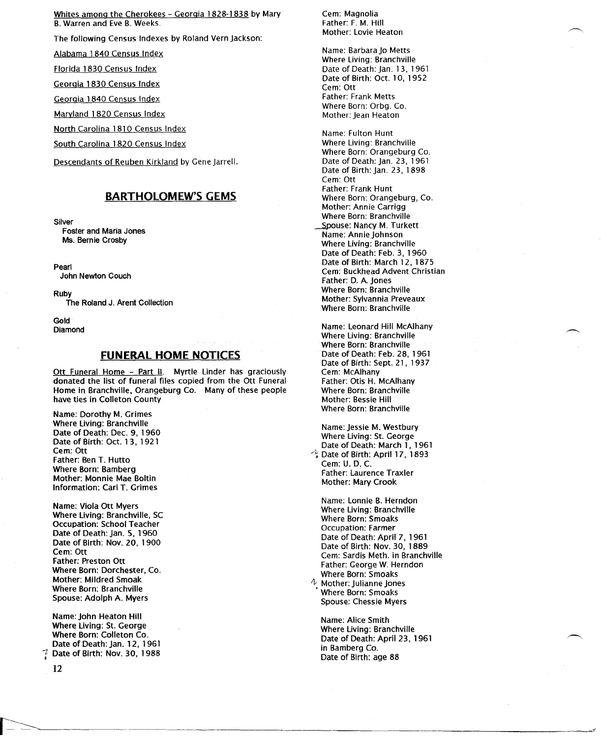Whites among the Cherokees - Georgia 1828·1838 by Mary B. Warren and Eve B. Weeks.

The following Census Indexes by Roland Vern Jackson:

Alabama 1840 Census Index:

Florida 1830 Census Index

Georgia 1830 Census Index

Georgia 1840 Census Index

Maryland 1820 Census Index

North Carolina 1810 Census Index

South Carolina 1820 Census Index

Descendants of Reuben Kirkland by Gene Jarrell.

## **BARTHOLOMEW'S GEMS**

Silver

Foster and Maria Jones Ms. Bernie Crosby

Pearl John Newton Couch

Ruby

The Roland J. Arent Collection

Gold Diamond

## **FUNERAL HOME NOTICES**

Ott Funeral Home - Part II. Myrtle Linder has graciously donated the list of funeral files copied from the Ott Funeral Home in Branchville, Orangeburg Co. Many of these people have ties in Colleton County

Name: Dorothy M. Grimes Where Living: Branchville Date of Death: Dee. 9, 1960 Date of Birth: Oct. 13, 1921 Cem:Ott Father: Ben T. Hutto Where Born: Bamberg Mother: Monnie Mae Boltin Information: Carl T. Grimes

Name: Viola Ott Myers Where Living: Branchville, SC Occupation: School Teacher Date of Death: Jan. 5, 1960 Date of Birth: Nov. 20, 1900 Cem: Ott Father; Preston Ott Where Born: Dorchester, Co. Mother: Mildred Smoak Where Born: Branchville Spouse: Adolph A. Myers

Name: John Heaton Hill Where Living: St. George Where Born: Colleton Co. Date of Death: Jan. 12, 1961 Date of Birth: Nov. 30, 1988

12

Cem: Magnolia Father: F. M. Hill Mother: Lovie Heaton

Name: BarbaraJo Metts Where Living: Branchville Date of Death: Jan. 13, 1961 Date of Birth: Oct. 10, 1952 Cem: Ott Father: Frank Metts Where Born: Orbg. Co. Mother: Jean Heaton

Name: Fulton Hunt Where Living: Branchville Where Born: Orangeburg Co. Date of Death: Jan. 23, 1961 Date of Birth: Jan. 23, 1898 Cem: Ott Father: Frank Hunt Where Born: Orangeburg, Co. Mother: Annie Carrigg Where Born: Branchville Spouse: Nancy M. Turkett Name: Annie Johnson Where Living: Branchville Date of Death: Feb. 3, 1960 Date of Birth: March 12, 1875 Cem: Buckhead Advent Christian Father: D. A. Jones Where Born: Branchville Mother: Sylvannia Preveaux Where Born: Branchville

Name: Leonard Hill McAlhany Where Living: Branchville Where Born: Branchville Date of Death: Feb. 28, 1961 Date of Birth: Sept. 21, 1937 Cem: McAlhany Father: Otis H. McAlhany Where Born: Branchville Mother: Bessie Hill Where Born: Branchville

Name: Jessie M. Westbury Where Living: St. George Date of Death: March 1, 1961  $\stackrel{\triangle}{\cdot}$  Date of Birth: April 17, 1893 Cem: U. D. C. Father: Laurence Traxler Mother: Mary Crook

Name: Lonnie B. Herndon Where Living: Branchville Where Born: Smoaks Occupation: Farmer Date of Death: April 7, 1961 Date of Birth: Nov. 30, 1889 Cem: Sardis Meth. in Branchville Father: George W. Herndon Where Born: Smoaks *tv* Mother: Julianne Jones

• Where Born: Smoaks Spouse: Chessie Myers

 $\textcolor{blue}{\displaystyle\rightarrow\textcolor{blue}{\displaystyle\rightarrow\textcolor{blue}{\displaystyle\rightarrow\textcolor{blue}{\displaystyle\cdots}}}}$ 

Name: Alice Smith Where Living: Branchville Date of Death: April 23, 1961 in Bamberg Co. Date of Birth: age 88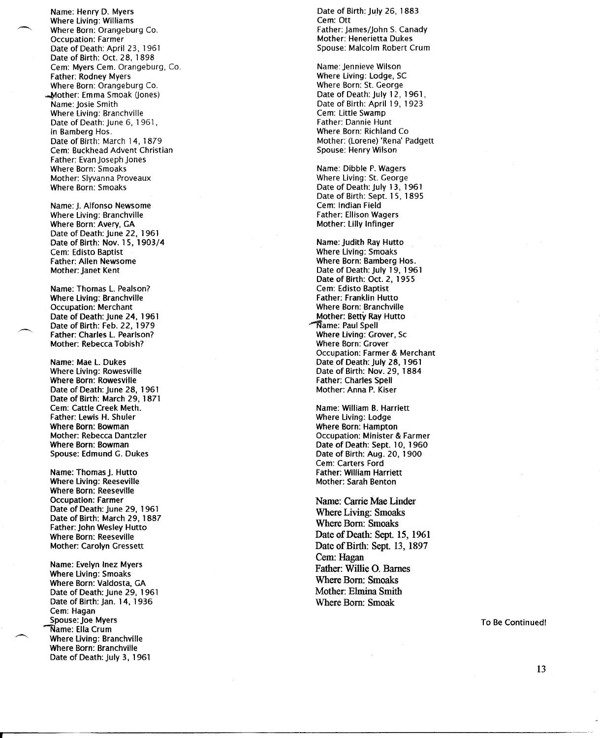To Birth: July 26, 1883<br>
Where Living: Williams<br>
Cem: Ott (Where Living: Williams Name: Henry D. Myers **Date of Birth: July 26, 2008** - 20, 2008 Date Death: June 29, 1961 Born: Reeseville Where Born: Smoaks Where Living: Smoaks Date of Death: Sept. 15, 1961 <sup>~</sup> Where Born: Orangeburg Co. Father: james/John S. Canady Name: Henry D. Myers and Date of Birth:<br>
Where Living: Williams and Date of Birth:<br>
Where Betty Crangeburg Co. And Date of Birth Ray Hutto: Lamos Where Father: Ellison Wagers Date of July 28, Where Living: RowesvilleBirth: Nov. 29, 1884 Name: Dibble P.WagersMother: Slyvanna Proveaux St. GeorgeWhere Born: Smoaks Cem: Edisto BaptistLiving: Smoaks Death: July 1961Name: Thomas L. Pealson? of Oct. 2, 1955 Date of Birth: March 14, 1879Mother: (Lorene) 'Rena' Padgett Born: Bamberg Hos.Mother: Janet Kent Name: Carrie Mae Linder Date of Birth: March 29, 1887 Father: Charles L. Pearlson?Living: Grover, Sc Spouse: Malcolm Robert CrumBirth: Oct. 28, 1898 Cem: Myers Cem. Orangeburg, Co. Father: lewis H. Shuler Living: lodge Where Living: Williams Cem: Ott Cem: Ott Cem: Ott Cem: Ott Cem: Ott Cem: Ott Cem: Ott Cem: Ott Cem: Ott Cem: Ott Cem: Ott Cem: Ott Cem: Ott Cem: Ott Cem: Ott Cem: Ott Cem: Ott Cem: Ott Cem: Ott Cem: Ott Cem: Ott Cem: Ott C  $\blacksquare$  Where Li Name: Thomas j. Hutto Cem: Carters Ford **Occupation: Farmer** Date of Death: April 23, 1961 Date of Birth: Oct. 28, 1898 Cem: Myers Cem. Orangeburg, Co. **Father: Rodney Mvers** Where Born: Orangeburg Co. Mother: Emma Smoak (Jones) Name: Iosie Smith Where Living: Branchville Date of Death: June 6, 1961, in Bamberg Hos. Date of Birth: March 14, 1879 Cem: Buckhead Advent Christian Father: Evan Joseph Jones Where Born: Smoaks Mother: Siyvanna Proveaux **Where Born: Smoaks** 

> Name: J. Alfonso Newsome Where Living: Branchville Where Born: Avery, GA Date of Death: June 22, 1961 Date of Birth: Nov. 15, 1903/4 Cem: Edisto Baptist **Father: Allen Newsome** Mother: Janet Kent

Name: Thomas L. Pealson? **Where Living: Branchville Occupation: Merchant** Date of Death: June 24, 1961 Date of Birth: Feb. 22, 1979 Father: Charles L. Pearlson? Mother: Rebecca Tobish?

Name: Mae L. Dukes Where Living: Rowesville Where Born: Rowesville Date of Death: June 28, 1961 Date of Birth: March 29, 1871 Cem: Cattle Creek Meth. Father: Lewis H. Shuler Where Born: Bowman Mother: Rebecca Dantzler Where Born: Bowman Spouse: Edmund G. Dukes

Name: Thomas J. Hutto **Where Living: Reeseville** Where Born: Reeseville **Occupation: Farmer** Date of Death: June 29, 1961 Date of Birth: March 29, 1887 Father: John Wesley Hutto **Where Born: Reeseville Mother: Carolyn Gressett** 

Name: Evelyn Inez Myers **Where Living: Smoaks** Where Born: Valdosta, GA Date of Death: June 29, 1961 Date of Birth: Jan. 14, 1936 Cem: Hagan Spouse: Joe Myers Name: Ella Crum **Where Living: Branchville** Where Born: Branchville Date of Death: luly 3, 1961

Cem:Hagan Date of Birth: July 26 **Mother: Henerietta Dukes** Spouse: Malcolm Robert Crum

> Name: Jennieve Wilson Where Living: Lodge, SC Where Born: St. George Date of Death: July 12, 1961, Date of Birth: April 19, 1923 Cem: Little Swamp Father: Dannie Hunt Where Born: Richland Co. Mother: (Lorene) 'Rena' Padgett Spouse: Henry Wilson

Name: Dibble P. Wagers Where Living: St. George Date of Death: luly 13, 1961 Date of Birth: Sept. 15, 1895 Cem: Indian Field **Father: Ellison Wagers** Mother: Lilly Infinger

Name: Judith Ray Hutto **Where Living: Smoaks** Where Born: Bamberg Hos. Date of Death: July 19, 1961 Date of Birth: Oct. 2, 1955 Cem: Edisto Baptist Father: Franklin Hutto Where Born: Branchville Mother: Betty Ray Hutto Mame: Paul Spell Where Living: Grover, Sc **Where Born: Grover Occupation: Farmer & Merchant** Date of Death: July 28, 1961 Date of Birth: Nov. 29, 1884 **Father: Charles Spell** Mother: Anna P. Kiser

Name: William B. Harriett Where Living: Lodge **Where Born: Hampton Occupation: Minister & Farmer** Date of Death: Sept. 10, 1960 Date of Birth: Aug. 20, 1900 Cem: Carters Ford **Father: William Harriett** Mother: Sarah Benton

Name: Carrie Mae Linder **Where Living: Smoaks Where Born: Smoaks** Date of Death: Sept. 15, 1961 Date of Birth: Sept. 13, 1897 Cem: Hagan Father: Willie O. Barnes **Where Born: Smoaks** Mother: Elmina Smith Where Born: Smoak

To Be Continued!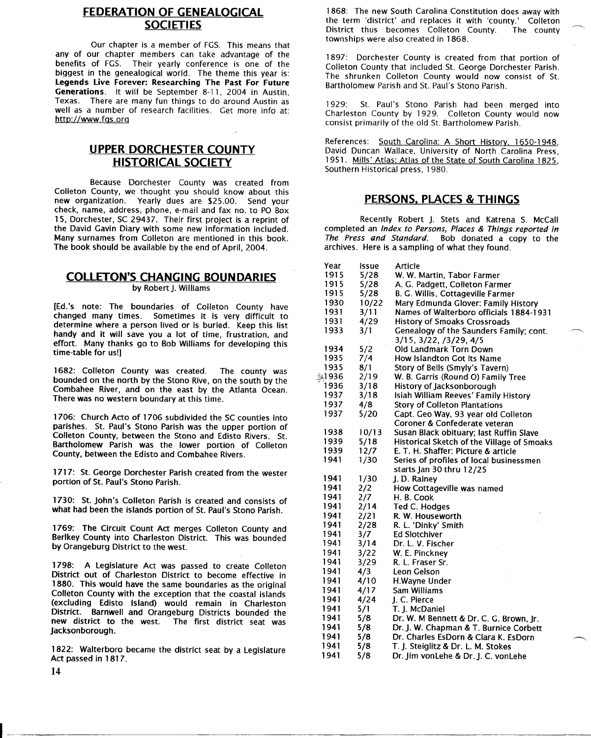# **FEDERATION OF GENEALOGICAL SOCIETIES**

Our chapter is a member of FGS. This means that any of our chapter members can take advantage of the benefits of FGS. Their yearly conference is one of the biggest in the genealogical world. The theme this year is: Legends Live Forever: Researching The Past For Future Generations. It will be September 8-11, 2004 in Austin, Texas. There are many fun things to do around Austin as well as a number of research facilities. Get more info at: http://www.fgs.org

# **UPPER DORCHESTER COUNTY HISTORICAL SOCIETY**

Because Dorchester County was created from Colleton County, we thought you should know about this new organization. Yearly dues are \$25.00. Send your check, name, address, phone, e-mail and fax no. to PO Box 15, Dorchester, SC 29437. Their first project is a reprint of the David Gavin Diary with some new information included. Many surnames from Colleton are mentioned in this book. The book should be available by the end of April, 2004.

# **COLLETON'S CHANGING BOUNDARIES**

by Robert J. Williams

(Ed.'s note: The boundaries of Colleton County have changed many times. Sometimes it is very difficult to determine where a person lived or is buried. Keep this list handy and it will save you a lot of time, frustration, and effort. Many thanks go to Bob Williams for developing this time-table for us!]

1682: Colleton County was created. The county was bounded on the north by the Stono Rive, on the south by the Combahee River, and on the east by the Atlanta Ocean. There was no western boundary at this time.

1706: Church Acto of 1706 subdivided the SC counties into parishes. St. Paul's Stono Parish was the upper portion of Colleton County, between the Stono and Edisto Rivers. St. Bartholomew Parish was the lower portion of Colleton County, between the Edisto and Combahee Rivers.

1717: St. George Dorchester Parish created from the wester portion of St. Paul's Stono Parish.

1730: St. John's Colleton Parish is created and consists of what had been the islands portion of St. Paul's Stono Parish.

1769: The Circuit Count Act merges Colleton County and Berlkey County into Charleston District. This was bounded by Orangeburg District to the west.

1798: A Legislature Act was passed to create Colleton District out of Charleston District to become effective in 1880. This would have the same boundaries as the original Colleton County with the exception that the coastal islands (excluding Edisto Island) would remain in Charleston District. Barnwell and Orangeburg Districts bounded the<br>new district to the west. The first district seat was The first district seat was Jacksonborough.

1822: Walterboro became the district seat by a Legislature Act passed in 1817.

1868: The new South Carolina Constitution does away with the term 'district' and replaces it with 'county.' Colleton District thus becomes Colleton County. townships were also created in 1868.

1897: Dorchester County is created from that portion of Colleton County that included St. George Dorchester Parish. The shrunken Colleton County would now consist of St. Bartholomew Parish and St. Paul's Stono Parish.

1929: St. Paul's Stono Parish had been merged into Charleston County by 1929. Colleton County would now consist primarily of the old St. Bartholomew Parish.

References: South Carolina: A Short History, 1650-1948, David Duncan Wallace, University of North Carolina Press, 1951. Mills' Atlas: Atlas of the State of South Carolina 1825, Southern Historical press, 1980.

# **PERSONS, PLACES & THINGS**

Recently Robert j. Stets and Katrena S. McCall completed an Index to Persons, Places & Things reported in The Press and Standard. Bob donated a copy to the archives. Here is a sampling of what they found.

| Year  | lssue | Article                                    |
|-------|-------|--------------------------------------------|
| 1915  | 5/28  | W. W. Martin, Tabor Farmer                 |
| 1915  | 5/28  | A. G. Padgett, Colleton Farmer             |
| 1915  | 5/28  | B. G. Willis, Cottageville Farmer          |
| 1930  | 10/22 | Mary Edmunda Glover: Family History        |
| 1931  | 3/11  | Names of Walterboro officials 1884-1931    |
| 1931  | 4/29  | <b>History of Smoaks Crossroads</b>        |
| 1933  | 3/1   | Genealogy of the Saunders Family; cont.    |
|       |       | 3/15, 3/22, /3/29, 4/5                     |
| 1934  | 5/2   | Old Landmark Torn Down                     |
| 1935  | 7/4   | How Islandton Got Its Name                 |
| 1935  | 8/1   | Story of Bells (Smyly's Tavern)            |
| ≩1936 | 2/19  | W. B. Garris (Round O) Family Tree         |
| 1936  | 3/18  | History of Jacksonborough                  |
| 1937  | 3/18  | Isiah William Reeves' Family History       |
| 1937  | 4/8   | <b>Story of Colleton Plantations</b>       |
| 1937  | 5/20  | Capt. Geo Way, 93 year old Colleton        |
|       |       | Coroner & Confederate veteran              |
| 1938  | 10/13 | Susan Black obituary; last Ruffin Slave    |
| 1939  | 5/18  | Historical Sketch of the Village of Smoaks |
| 1939  | 12/7  | E. T. H. Shaffer: Picture & article        |
| 1941  | 1/30  | Series of profiles of local businessmen    |
|       |       | starts Jan 30 thru 12/25                   |
| 1941  | 1/30  | J.D. Rainey                                |
| 1941  | 2/2   | How Cottageville was named                 |
| 1941  | 2/7   | H. B. Cook                                 |
| 1941  | 2/14  | Ted C. Hodges                              |
| 1941  | 2/21  | R. W. Houseworth                           |
| 1941  | 2/28  | R. L. 'Dinky' Smith                        |
| 1941  | 3/7   | <b>Ed Slotchiver</b>                       |
| 1941  | 3/14  | Dr. L. V. Fischer                          |
| 1941  | 3/22  | W. E. Pinckney                             |
| 1941  | 3/29  | R. L. Fraser Sr.                           |
| 1941  | 4/3   | Leon Gelson                                |
| 1941  | 4/10  | H.Wayne Under                              |
| 1941  | 4/17  | Sam Williams                               |
| 1941  | 4/24  | J. C. Pierce                               |
| 1941  | 5/1   | T. J. McDaniel                             |
| 1941  | 5/8   | Dr. W. M Bennett & Dr. C. G. Brown, Jr.    |
| 1941  | 5/8   | Dr. J. W. Chapman & T. Burnice Corbett     |
| 1941  | 5/8   | Dr. Charles EsDorn & Clara K. EsDorn       |
| 1941  | 5/8   | T. J. Steiglitz & Dr. L. M. Stokes         |
| 1941  | 5/8   | Dr. Jim vonLehe & Dr. J. C. vonLehe        |

3;>.1936

14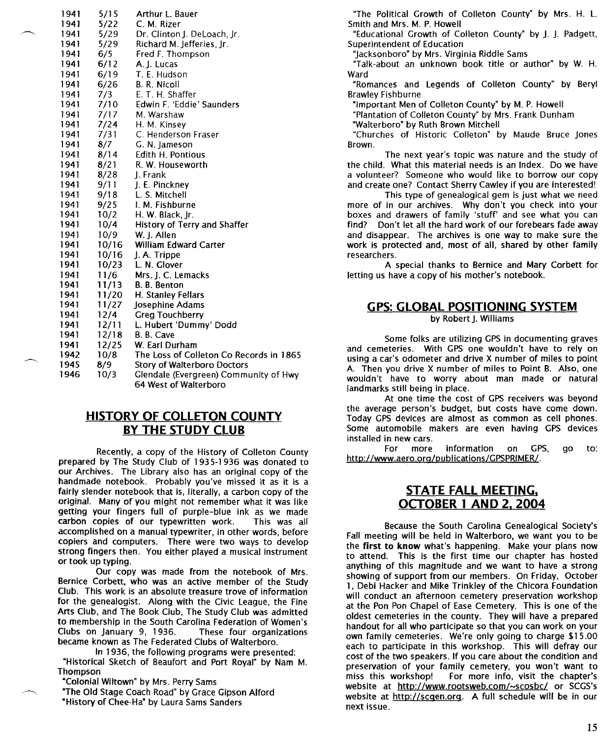| 1941 | 5/15  | Arthur L. Bauer                         |
|------|-------|-----------------------------------------|
| 1941 | 5/22  | C. M. Rizer                             |
| 1941 | 5/29  | Dr. Clinton J. DeLoach, Jr.             |
| 1941 | 5/29  | Richard M. Jefferies, Jr.               |
| 1941 | 6/5   | Fred F. Thompson                        |
| 1941 | 6/12  | A. J. Lucas                             |
| 1941 | 6/19  | T. E. Hudson                            |
| 1941 | 6/26  | B. R. Nicoll                            |
| 1941 | 7/3   | E. T. H. Shaffer                        |
| 1941 | 7/10  | Edwin F. 'Eddie' Saunders               |
| 1941 | 7/17  | M. Warshaw                              |
| 1941 | 7/24  | H. M. Kinsey                            |
| 1941 | 7/31  | C. Henderson Fraser                     |
| 1941 | 8/7   | G. N. Jameson                           |
| 1941 | 8/14  | Edith H. Pontious                       |
| 1941 | 8/21  | R. W. Houseworth                        |
| 1941 | 8/28  | 1. Frank                                |
| 1941 | 9/11  | J. E. Pinckney                          |
| 1941 | 9/18  | L. S. Mitchell                          |
| 1941 | 9/25  | I. M. Fishburne                         |
| 1941 | 10/2  | H. W. Black, Jr.                        |
| 1941 | 10/4  | History of Terry and Shaffer            |
| 1941 | 10/9  | W. J. Allen                             |
| 1941 | 10/16 | William Edward Carter                   |
| 1941 | 10/16 | J. A. Trippe                            |
| 1941 | 10/23 | L. N. Glover                            |
| 1941 | 11/6  | Mrs. I. C. Lemacks                      |
| 1941 | 11/13 | B. B. Benton                            |
| 1941 | 11/20 | H. Stanley Fellars                      |
| 1941 | 11/27 | Josephine Adams                         |
| 1941 | 12/4  | <b>Greg Touchberry</b>                  |
| 1941 | 12/11 | L. Hubert 'Dummy' Dodd                  |
| 1941 | 12/18 | B. B. Cave                              |
| 1941 | 12/25 | W. Earl Durham                          |
| 1942 | 10/8  | The Loss of Colleton Co Records in 1865 |
| 1945 | 8/9   | Story of Walterboro Doctors             |
| 1946 | 10/3  | Glendale (Evergreen) Community of Hwy   |
|      |       | 64 West of Walterboro                   |

## **HISTORY OF COLLETON COUNTY BY THE STUDY CLUB**

Recently, a copy of the History of Colleton County prepared by The Study Club of 1935-1936 was donated to our Archives. The Library also has an original copy of the handmade notebook. Probably you've missed it as it is a fairly slender notebook that is, literally, a carbon copy of the original. Many of you might not remember what it was like getting your fingers full of purple-blue ink as we made carbon copies of our typewritten work. This was all accomplished on a manual typewriter, in other words, before copiers and computers. There were two ways to develop strong fingers then. You either played a musical instrument or took up typing.

Our copy was made from the notebook of Mrs. Bernice Corbett, who was an active member of the Study Club. This work is an absolute treasure trove of information for the genealogist. Along with the Civic League, the Fine Arts Club, and The Book Club, The Study Club was admitted to membership in the South Carolina Federation of Women's Clubs on january 9, 1936. These four organizations became known as The Federated Clubs of Walterboro.

In 1936, the following programs were presented: "Historical Sketch of Beaufort and Port Royal" by Nam M. Thompson

"Colonial Wiltown" by Mrs. Perry Sams

"The Old Stage Coach Road" by Grace Gipson Alford "History of Chee-Ha" by Laura Sams Sanders

"The Political Growth of Colleton County" by Mrs. H. L. Smith and Mrs. M. P. Howell

"Educational Growth of Colleton County" by j. j. Padgett, Superintendent of Education

"jacksonboro" by Mrs. Virginia Riddle Sams

"Talk-about an unknown book title or author" by W. H. Ward

"Romances and Legends of Colleton County" by Beryl Brawley Fishburne

"Important Men of Colleton County" by M. P. Howell

"Plantation of Colleton County" by Mrs. Frank Dunham

"Walterboro" by Ruth Brown Mitchell

"Churches of Historic Colleton" by Maude Bruce jones Brown.

The next year's topic was nature and the study of the child. What this material needs is an Index. Do we have a volunteer? Someone who would like to borrow our copy and create one? Contact Sherry Cawley if you are interested!

This type of genealogical gem is just what we need more of in our archives. Why don't you check into your boxes and drawers of family 'stuff' and see what you can find? Don't let all the hard work of our forebears fade away and disappear. The archives is one way to make sure the work is protected and, most of all, shared by other family researchers.

A special thanks to Bernice and Mary Corbett for letting us have a copy of his mother's notebook.

# **GPS: GLOBAL POSITIONING SYSTEM**

by Robert I. Williams

Some folks are utilizing GPS in documenting graves and cemeteries. With GPS one wouldn't have to rely on using a car's odometer and drive X number of miles to point A. Then you drive X number of miles to Point B. Also, one wouldn't have to worry about man made or natural landmarks still being in place.

At one time the cost of GPS receivers was beyond the average person's budget, but costs have come down. Today GPS devices are almost as common as cell phones. Some automobile makers are even having GPS devices installed in new cars.

For more information on GPS, go to: http://www.aero.org/publications/GPSPRIMER/.

# **STATE FALL MEETING, OCTOBER 1 AND 2, 2004**

Because the South Carolina Genealogical Society's Fall meeting will be held in Walterboro, we want you to be the **first to know** what's happening. Make your plans now to attend. This is the first time our chapter has hosted anything of this magnitude and we want to have a strong showing of support from our members. On Friday, October 1, Debi Hacker and Mike Trinkley of the Chicora Foundation will conduct an afternoon cemetery preservation workshop at the Pon Pon Chapel of Ease Cemetery. This is one of the oldest cemeteries in the county. They will have a prepared handout for all who participate so that you can work on your own family cemeteries. We're only going to charge \$15.00 each to participate in this workshop. This will defray our cost of the two speakers. If you care about the condition and preservation of your family cemetery, you won't want to For more info, visit the chapter's website at *http://www.rootsweb.com/-scosbc/* or SCGS's website at http://scgen.org. A full schedule will be in our next issue.